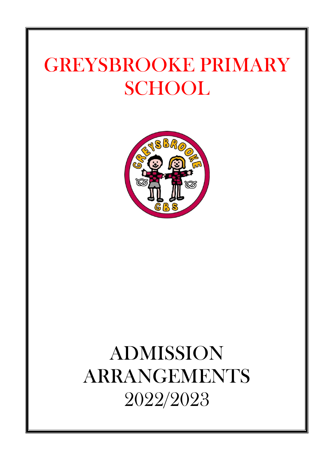# GREYSBROOKE PRIMARY **SCHOOL**



# ADMISSION ARRANGEMENTS 2022/2023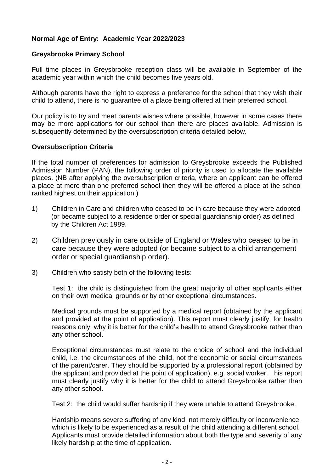## **Normal Age of Entry: Academic Year 2022/2023**

#### **Greysbrooke Primary School**

Full time places in Greysbrooke reception class will be available in September of the academic year within which the child becomes five years old.

Although parents have the right to express a preference for the school that they wish their child to attend, there is no guarantee of a place being offered at their preferred school.

Our policy is to try and meet parents wishes where possible, however in some cases there may be more applications for our school than there are places available. Admission is subsequently determined by the oversubscription criteria detailed below.

#### **Oversubscription Criteria**

If the total number of preferences for admission to Greysbrooke exceeds the Published Admission Number (PAN), the following order of priority is used to allocate the available places. (NB after applying the oversubscription criteria, where an applicant can be offered a place at more than one preferred school then they will be offered a place at the school ranked highest on their application.)

- 1) Children in Care and children who ceased to be in care because they were adopted (or became subject to a residence order or special guardianship order) as defined by the Children Act 1989.
- 2) Children previously in care outside of England or Wales who ceased to be in care because they were adopted (or became subject to a child arrangement order or special guardianship order).
- 3) Children who satisfy both of the following tests:

Test 1: the child is distinguished from the great majority of other applicants either on their own medical grounds or by other exceptional circumstances.

Medical grounds must be supported by a medical report (obtained by the applicant and provided at the point of application). This report must clearly justify, for health reasons only, why it is better for the child's health to attend Greysbrooke rather than any other school.

Exceptional circumstances must relate to the choice of school and the individual child, i.e. the circumstances of the child, not the economic or social circumstances of the parent/carer. They should be supported by a professional report (obtained by the applicant and provided at the point of application), e.g. social worker. This report must clearly justify why it is better for the child to attend Greysbrooke rather than any other school.

Test 2: the child would suffer hardship if they were unable to attend Greysbrooke.

Hardship means severe suffering of any kind, not merely difficulty or inconvenience, which is likely to be experienced as a result of the child attending a different school. Applicants must provide detailed information about both the type and severity of any likely hardship at the time of application.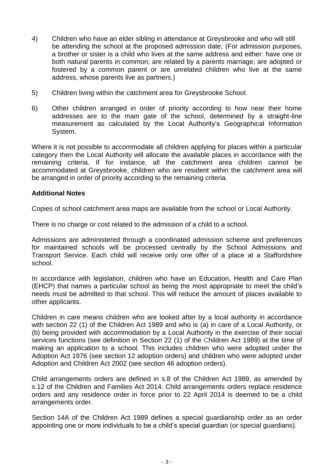- 4) Children who have an elder sibling in attendance at Greysbrooke and who will still be attending the school at the proposed admission date; (For admission purposes, a brother or sister is a child who lives at the same address and either: have one or both natural parents in common; are related by a parents marriage; are adopted or fostered by a common parent or are unrelated children who live at the same address, whose parents live as partners.)
- 5) Children living within the catchment area for Greysbrooke School.
- 6) Other children arranged in order of priority according to how near their home addresses are to the main gate of the school, determined by a straight-line measurement as calculated by the Local Authority's Geographical Information System.

Where it is not possible to accommodate all children applying for places within a particular category then the Local Authority will allocate the available places in accordance with the remaining criteria. If for instance, all the catchment area children cannot be accommodated at Greysbrooke, children who are resident within the catchment area will be arranged in order of priority according to the remaining criteria.

#### **Additional Notes**

Copies of school catchment area maps are available from the school or Local Authority.

There is no charge or cost related to the admission of a child to a school.

Admissions are administered through a coordinated admission scheme and preferences for maintained schools will be processed centrally by the School Admissions and Transport Service. Each child will receive only one offer of a place at a Staffordshire school.

In accordance with legislation, children who have an Education, Health and Care Plan (EHCP) that names a particular school as being the most appropriate to meet the child's needs must be admitted to that school. This will reduce the amount of places available to other applicants.

Children in care means children who are looked after by a local authority in accordance with section 22 (1) of the Children Act 1989 and who is (a) in care of a Local Authority, or (b) being provided with accommodation by a Local Authority in the exercise of their social services functions (see definition in Section 22 (1) of the Children Act 1989) at the time of making an application to a school. This includes children who were adopted under the Adoption Act 1976 (see section 12 adoption orders) and children who were adopted under Adoption and Children Act 2002 (see section 46 adoption orders).

Child arrangements orders are defined in s.8 of the Children Act 1989, as amended by s.12 of the Children and Families Act 2014. Child arrangements orders replace residence orders and any residence order in force prior to 22 April 2014 is deemed to be a child arrangements order.

Section 14A of the Children Act 1989 defines a special guardianship order as an order appointing one or more individuals to be a child's special guardian (or special guardians).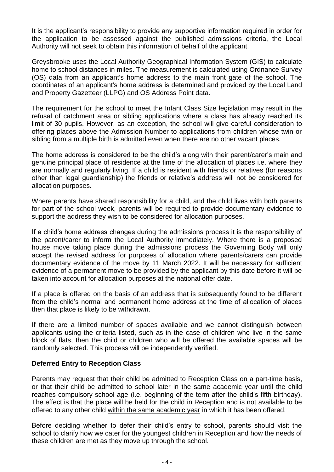It is the applicant's responsibility to provide any supportive information required in order for the application to be assessed against the published admissions criteria, the Local Authority will not seek to obtain this information of behalf of the applicant.

Greysbrooke uses the Local Authority Geographical Information System (GIS) to calculate home to school distances in miles. The measurement is calculated using Ordnance Survey (OS) data from an applicant's home address to the main front gate of the school. The coordinates of an applicant's home address is determined and provided by the Local Land and Property Gazetteer (LLPG) and OS Address Point data.

The requirement for the school to meet the Infant Class Size legislation may result in the refusal of catchment area or sibling applications where a class has already reached its limit of 30 pupils. However, as an exception, the school will give careful consideration to offering places above the Admission Number to applications from children whose twin or sibling from a multiple birth is admitted even when there are no other vacant places.

The home address is considered to be the child's along with their parent/carer's main and genuine principal place of residence at the time of the allocation of places i.e. where they are normally and regularly living. If a child is resident with friends or relatives (for reasons other than legal guardianship) the friends or relative's address will not be considered for allocation purposes.

Where parents have shared responsibility for a child, and the child lives with both parents for part of the school week, parents will be required to provide documentary evidence to support the address they wish to be considered for allocation purposes.

If a child's home address changes during the admissions process it is the responsibility of the parent/carer to inform the Local Authority immediately. Where there is a proposed house move taking place during the admissions process the Governing Body will only accept the revised address for purposes of allocation where parents/carers can provide documentary evidence of the move by 11 March 2022. It will be necessary for sufficient evidence of a permanent move to be provided by the applicant by this date before it will be taken into account for allocation purposes at the national offer date.

If a place is offered on the basis of an address that is subsequently found to be different from the child's normal and permanent home address at the time of allocation of places then that place is likely to be withdrawn.

If there are a limited number of spaces available and we cannot distinguish between applicants using the criteria listed, such as in the case of children who live in the same block of flats, then the child or children who will be offered the available spaces will be randomly selected. This process will be independently verified.

#### **Deferred Entry to Reception Class**

Parents may request that their child be admitted to Reception Class on a part-time basis, or that their child be admitted to school later in the same academic year until the child reaches compulsory school age (i.e. beginning of the term after the child's fifth birthday). The effect is that the place will be held for the child in Reception and is not available to be offered to any other child within the same academic year in which it has been offered.

Before deciding whether to defer their child's entry to school, parents should visit the school to clarify how we cater for the youngest children in Reception and how the needs of these children are met as they move up through the school.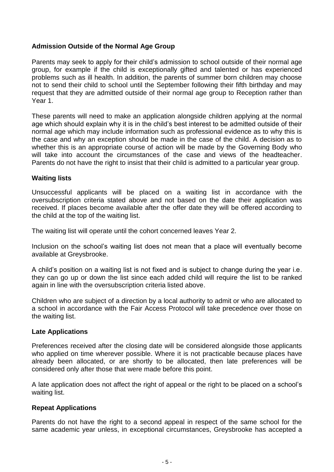## **Admission Outside of the Normal Age Group**

Parents may seek to apply for their child's admission to school outside of their normal age group, for example if the child is exceptionally gifted and talented or has experienced problems such as ill health. In addition, the parents of summer born children may choose not to send their child to school until the September following their fifth birthday and may request that they are admitted outside of their normal age group to Reception rather than Year 1.

These parents will need to make an application alongside children applying at the normal age which should explain why it is in the child's best interest to be admitted outside of their normal age which may include information such as professional evidence as to why this is the case and why an exception should be made in the case of the child. A decision as to whether this is an appropriate course of action will be made by the Governing Body who will take into account the circumstances of the case and views of the headteacher. Parents do not have the right to insist that their child is admitted to a particular year group.

#### **Waiting lists**

Unsuccessful applicants will be placed on a waiting list in accordance with the oversubscription criteria stated above and not based on the date their application was received. If places become available after the offer date they will be offered according to the child at the top of the waiting list.

The waiting list will operate until the cohort concerned leaves Year 2.

Inclusion on the school's waiting list does not mean that a place will eventually become available at Greysbrooke.

A child's position on a waiting list is not fixed and is subject to change during the year i.e. they can go up or down the list since each added child will require the list to be ranked again in line with the oversubscription criteria listed above.

Children who are subject of a direction by a local authority to admit or who are allocated to a school in accordance with the Fair Access Protocol will take precedence over those on the waiting list.

#### **Late Applications**

Preferences received after the closing date will be considered alongside those applicants who applied on time wherever possible. Where it is not practicable because places have already been allocated, or are shortly to be allocated, then late preferences will be considered only after those that were made before this point.

A late application does not affect the right of appeal or the right to be placed on a school's waiting list.

#### **Repeat Applications**

Parents do not have the right to a second appeal in respect of the same school for the same academic year unless, in exceptional circumstances, Greysbrooke has accepted a